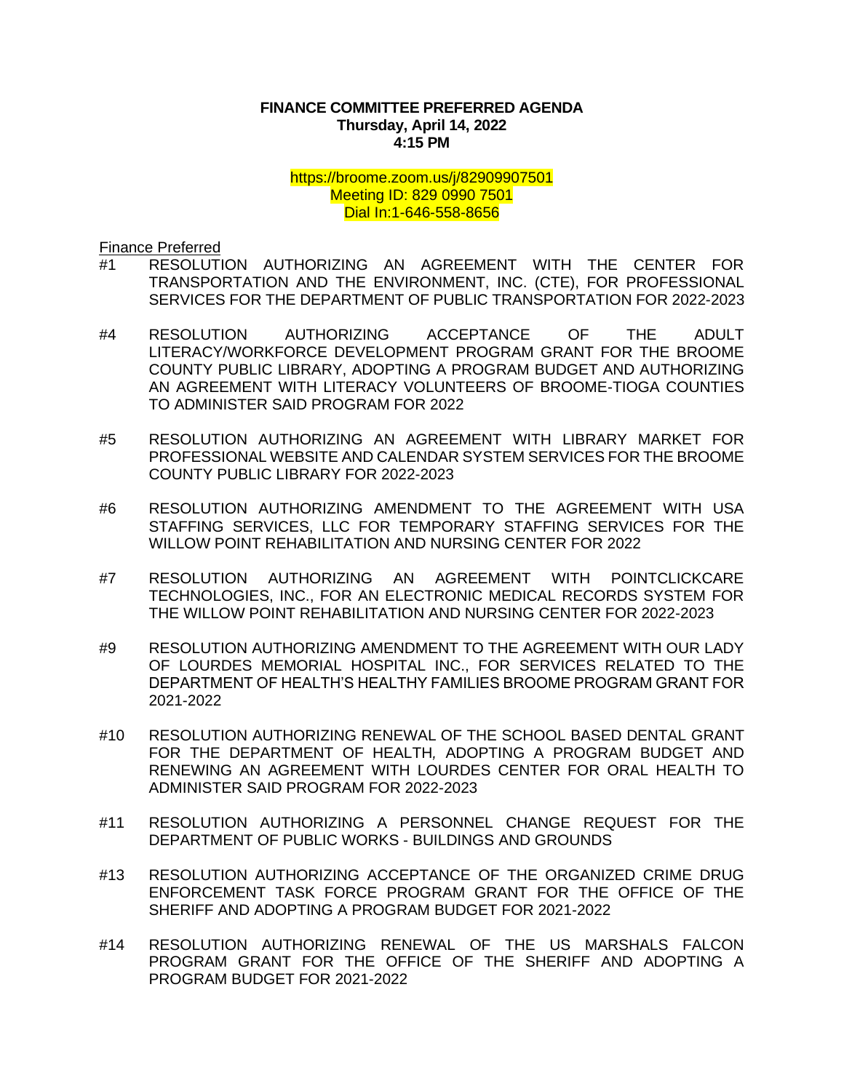## **FINANCE COMMITTEE PREFERRED AGENDA Thursday, April 14, 2022 4:15 PM**

## <https://broome.zoom.us/j/82909907501> Meeting ID: 829 0990 7501 Dial In:1-646-558-8656

Finance Preferred

- #1 [RESOLUTION AUTHORIZING AN AGREEMENT WITH THE CENTER FOR](https://www.gobroomecounty.com/sites/default/files/dept/legis/04212022-01.pdf)  [TRANSPORTATION AND THE ENVIRONMENT, INC. \(CTE\), FOR PROFESSIONAL](https://www.gobroomecounty.com/sites/default/files/dept/legis/04212022-01.pdf)  [SERVICES FOR THE DEPARTMENT OF PUBLIC TRANSPORTATION FOR 2022-2023](https://www.gobroomecounty.com/sites/default/files/dept/legis/04212022-01.pdf)
- #4 [RESOLUTION AUTHORIZING ACCEPTANCE OF THE ADULT](https://www.gobroomecounty.com/sites/default/files/dept/legis/04212022-04.pdf)  [LITERACY/WORKFORCE DEVELOPMENT PROGRAM GRANT FOR THE BROOME](https://www.gobroomecounty.com/sites/default/files/dept/legis/04212022-04.pdf)  [COUNTY PUBLIC LIBRARY, ADOPTING A PROGRAM BUDGET AND AUTHORIZING](https://www.gobroomecounty.com/sites/default/files/dept/legis/04212022-04.pdf)  [AN AGREEMENT WITH LITERACY VOLUNTEERS OF BROOME-TIOGA COUNTIES](https://www.gobroomecounty.com/sites/default/files/dept/legis/04212022-04.pdf)  [TO ADMINISTER SAID PROGRAM FOR 2022](https://www.gobroomecounty.com/sites/default/files/dept/legis/04212022-04.pdf)
- #5 [RESOLUTION AUTHORIZING AN AGREEMENT WITH LIBRARY MARKET FOR](https://www.gobroomecounty.com/sites/default/files/dept/legis/04212022-05.pdf)  [PROFESSIONAL WEBSITE AND CALENDAR SYSTEM SERVICES FOR THE BROOME](https://www.gobroomecounty.com/sites/default/files/dept/legis/04212022-05.pdf)  [COUNTY PUBLIC LIBRARY FOR 2022-2023](https://www.gobroomecounty.com/sites/default/files/dept/legis/04212022-05.pdf)
- #6 [RESOLUTION AUTHORIZING AMENDMENT TO THE AGREEMENT WITH USA](https://www.gobroomecounty.com/sites/default/files/dept/legis/04212022-06.pdf)  [STAFFING SERVICES, LLC FOR TEMPORARY STAFFING SERVICES FOR THE](https://www.gobroomecounty.com/sites/default/files/dept/legis/04212022-06.pdf)  [WILLOW POINT REHABILITATION AND NURSING CENTER FOR 2022](https://www.gobroomecounty.com/sites/default/files/dept/legis/04212022-06.pdf)
- #7 [RESOLUTION AUTHORIZING AN AGREEMENT WITH POINTCLICKCARE](https://www.gobroomecounty.com/sites/default/files/dept/legis/04212022-07.pdf)  [TECHNOLOGIES, INC., FOR AN ELECTRONIC MEDICAL RECORDS SYSTEM FOR](https://www.gobroomecounty.com/sites/default/files/dept/legis/04212022-07.pdf)  [THE WILLOW POINT REHABILITATION AND NURSING CENTER FOR 2022-2023](https://www.gobroomecounty.com/sites/default/files/dept/legis/04212022-07.pdf)
- #9 [RESOLUTION AUTHORIZING AMENDMENT TO THE AGREEMENT WITH OUR LADY](https://www.gobroomecounty.com/sites/default/files/dept/legis/04212022-09.pdf)  [OF LOURDES MEMORIAL HOSPITAL INC., FOR SERVICES RELATED TO THE](https://www.gobroomecounty.com/sites/default/files/dept/legis/04212022-09.pdf)  [DEPARTMENT OF HEALTH'S HEALTHY FAMILIES BROOME PROGRAM GRANT FOR](https://www.gobroomecounty.com/sites/default/files/dept/legis/04212022-09.pdf)  [2021-2022](https://www.gobroomecounty.com/sites/default/files/dept/legis/04212022-09.pdf)
- #10 [RESOLUTION AUTHORIZING RENEWAL OF THE SCHOOL BASED DENTAL](https://www.gobroomecounty.com/sites/default/files/dept/legis/04212022-10c.pdf) GRANT FOR THE DEPARTMENT OF HEALTH*,* [ADOPTING A PROGRAM BUDGET AND](https://www.gobroomecounty.com/sites/default/files/dept/legis/04212022-10c.pdf)  [RENEWING AN AGREEMENT WITH LOURDES CENTER FOR ORAL HEALTH TO](https://www.gobroomecounty.com/sites/default/files/dept/legis/04212022-10c.pdf)  [ADMINISTER SAID PROGRAM FOR 2022-2023](https://www.gobroomecounty.com/sites/default/files/dept/legis/04212022-10c.pdf)
- #11 [RESOLUTION AUTHORIZING A PERSONNEL CHANGE REQUEST FOR THE](https://www.gobroomecounty.com/sites/default/files/dept/legis/04212022-11.pdf)  [DEPARTMENT OF PUBLIC WORKS -](https://www.gobroomecounty.com/sites/default/files/dept/legis/04212022-11.pdf) BUILDINGS AND GROUNDS
- #13 [RESOLUTION AUTHORIZING ACCEPTANCE OF THE ORGANIZED CRIME DRUG](https://www.gobroomecounty.com/sites/default/files/dept/legis/04212022-13.pdf)  [ENFORCEMENT TASK FORCE PROGRAM GRANT FOR THE OFFICE OF THE](https://www.gobroomecounty.com/sites/default/files/dept/legis/04212022-13.pdf)  [SHERIFF AND ADOPTING A PROGRAM BUDGET FOR 2021-2022](https://www.gobroomecounty.com/sites/default/files/dept/legis/04212022-13.pdf)
- #14 [RESOLUTION AUTHORIZING RENEWAL OF THE US MARSHALS FALCON](https://www.gobroomecounty.com/sites/default/files/dept/legis/04212022-14.pdf)  [PROGRAM GRANT FOR THE OFFICE OF THE SHERIFF AND ADOPTING A](https://www.gobroomecounty.com/sites/default/files/dept/legis/04212022-14.pdf)  [PROGRAM BUDGET FOR 2021-2022](https://www.gobroomecounty.com/sites/default/files/dept/legis/04212022-14.pdf)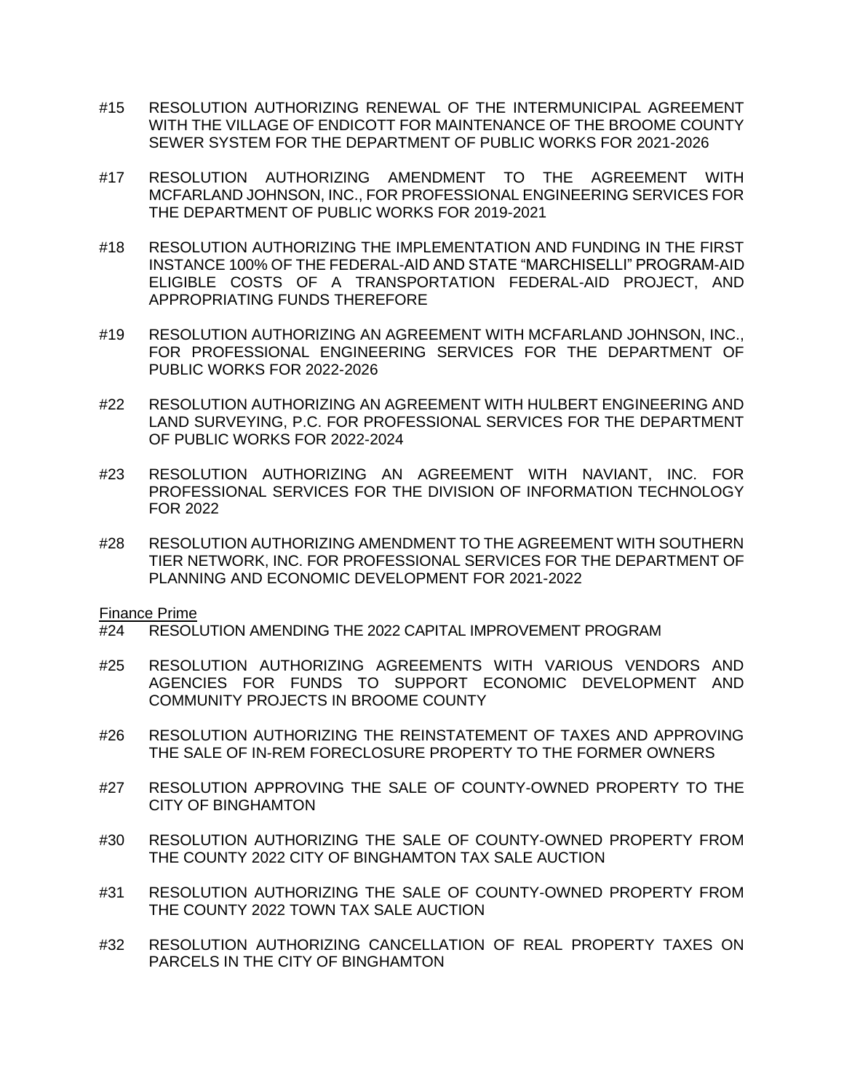- #15 [RESOLUTION AUTHORIZING RENEWAL OF THE INTERMUNICIPAL AGREEMENT](https://www.gobroomecounty.com/sites/default/files/dept/legis/04212022-15.pdf)  [WITH THE VILLAGE OF ENDICOTT FOR MAINTENANCE OF THE BROOME COUNTY](https://www.gobroomecounty.com/sites/default/files/dept/legis/04212022-15.pdf)  [SEWER SYSTEM FOR THE DEPARTMENT OF PUBLIC WORKS FOR 2021-2026](https://www.gobroomecounty.com/sites/default/files/dept/legis/04212022-15.pdf)
- #17 [RESOLUTION AUTHORIZING AMENDMENT TO THE AGREEMENT WITH](https://www.gobroomecounty.com/sites/default/files/dept/legis/04212022-17.pdf)  [MCFARLAND JOHNSON, INC., FOR PROFESSIONAL ENGINEERING SERVICES FOR](https://www.gobroomecounty.com/sites/default/files/dept/legis/04212022-17.pdf)  [THE DEPARTMENT OF PUBLIC WORKS FOR 2019-2021](https://www.gobroomecounty.com/sites/default/files/dept/legis/04212022-17.pdf)
- #18 [RESOLUTION AUTHORIZING THE IMPLEMENTATION AND FUNDING IN THE FIRST](https://www.gobroomecounty.com/sites/default/files/dept/legis/04212022-18.pdf)  [INSTANCE 100% OF THE FEDERAL-AID AND STATE "MARCHISELLI" PROGRAM-AID](https://www.gobroomecounty.com/sites/default/files/dept/legis/04212022-18.pdf)  [ELIGIBLE COSTS OF A TRANSPORTATION FEDERAL-AID PROJECT, AND](https://www.gobroomecounty.com/sites/default/files/dept/legis/04212022-18.pdf)  [APPROPRIATING FUNDS THEREFORE](https://www.gobroomecounty.com/sites/default/files/dept/legis/04212022-18.pdf)
- #19 [RESOLUTION AUTHORIZING AN AGREEMENT WITH MCFARLAND JOHNSON, INC.,](https://www.gobroomecounty.com/sites/default/files/dept/legis/04212022-19.pdf)  [FOR PROFESSIONAL ENGINEERING SERVICES FOR THE DEPARTMENT OF](https://www.gobroomecounty.com/sites/default/files/dept/legis/04212022-19.pdf)  [PUBLIC WORKS FOR 2022-2026](https://www.gobroomecounty.com/sites/default/files/dept/legis/04212022-19.pdf)
- #22 [RESOLUTION AUTHORIZING AN AGREEMENT WITH HULBERT ENGINEERING AND](https://www.gobroomecounty.com/sites/default/files/dept/legis/04212022-22.pdf)  [LAND SURVEYING, P.C. FOR PROFESSIONAL SERVICES FOR THE DEPARTMENT](https://www.gobroomecounty.com/sites/default/files/dept/legis/04212022-22.pdf)  [OF PUBLIC WORKS FOR 2022-2024](https://www.gobroomecounty.com/sites/default/files/dept/legis/04212022-22.pdf)
- #23 [RESOLUTION AUTHORIZING AN AGREEMENT WITH NAVIANT, INC. FOR](https://www.gobroomecounty.com/sites/default/files/dept/legis/04212022-23.pdf)  [PROFESSIONAL SERVICES FOR THE DIVISION OF INFORMATION TECHNOLOGY](https://www.gobroomecounty.com/sites/default/files/dept/legis/04212022-23.pdf)  [FOR 2022](https://www.gobroomecounty.com/sites/default/files/dept/legis/04212022-23.pdf)
- #28 [RESOLUTION AUTHORIZING AMENDMENT TO THE AGREEMENT WITH SOUTHERN](https://www.gobroomecounty.com/sites/default/files/dept/legis/04212022-28.pdf)  [TIER NETWORK, INC. FOR PROFESSIONAL SERVICES FOR THE DEPARTMENT OF](https://www.gobroomecounty.com/sites/default/files/dept/legis/04212022-28.pdf)  [PLANNING AND ECONOMIC DEVELOPMENT FOR 2021-2022](https://www.gobroomecounty.com/sites/default/files/dept/legis/04212022-28.pdf)

Finance Prime

- #24 [RESOLUTION AMENDING THE 2022 CAPITAL IMPROVEMENT PROGRAM](https://www.gobroomecounty.com/sites/default/files/dept/legis/04212022-24.pdf)
- #25 [RESOLUTION AUTHORIZING AGREEMENTS WITH VARIOUS VENDORS AND](https://www.gobroomecounty.com/sites/default/files/dept/legis/04212022-25.pdf)  [AGENCIES FOR FUNDS TO SUPPORT ECONOMIC DEVELOPMENT AND](https://www.gobroomecounty.com/sites/default/files/dept/legis/04212022-25.pdf)  [COMMUNITY PROJECTS IN BROOME COUNTY](https://www.gobroomecounty.com/sites/default/files/dept/legis/04212022-25.pdf)
- #26 [RESOLUTION AUTHORIZING THE REINSTATEMENT OF TAXES AND APPROVING](https://www.gobroomecounty.com/sites/default/files/dept/legis/04212022-26.pdf)  [THE SALE OF IN-REM FORECLOSURE PROPERTY TO THE FORMER OWNERS](https://www.gobroomecounty.com/sites/default/files/dept/legis/04212022-26.pdf)
- #27 [RESOLUTION APPROVING THE SALE OF COUNTY-OWNED PROPERTY TO THE](https://www.gobroomecounty.com/sites/default/files/dept/legis/04212022-27.pdf)  [CITY OF BINGHAMTON](https://www.gobroomecounty.com/sites/default/files/dept/legis/04212022-27.pdf)
- #30 [RESOLUTION AUTHORIZING THE SALE OF COUNTY-OWNED PROPERTY FROM](https://www.gobroomecounty.com/sites/default/files/dept/legis/04212022-30.pdf)  [THE COUNTY 2022 CITY OF BINGHAMTON TAX SALE AUCTION](https://www.gobroomecounty.com/sites/default/files/dept/legis/04212022-30.pdf)
- #31 [RESOLUTION AUTHORIZING THE SALE OF COUNTY-OWNED PROPERTY FROM](https://www.gobroomecounty.com/sites/default/files/dept/legis/04212022-31.pdf)  [THE COUNTY 2022 TOWN TAX SALE AUCTION](https://www.gobroomecounty.com/sites/default/files/dept/legis/04212022-31.pdf)
- #32 [RESOLUTION AUTHORIZING CANCELLATION OF REAL PROPERTY TAXES ON](https://www.gobroomecounty.com/sites/default/files/dept/legis/04212022-32.pdf)  [PARCELS IN THE CITY OF BINGHAMTON](https://www.gobroomecounty.com/sites/default/files/dept/legis/04212022-32.pdf)